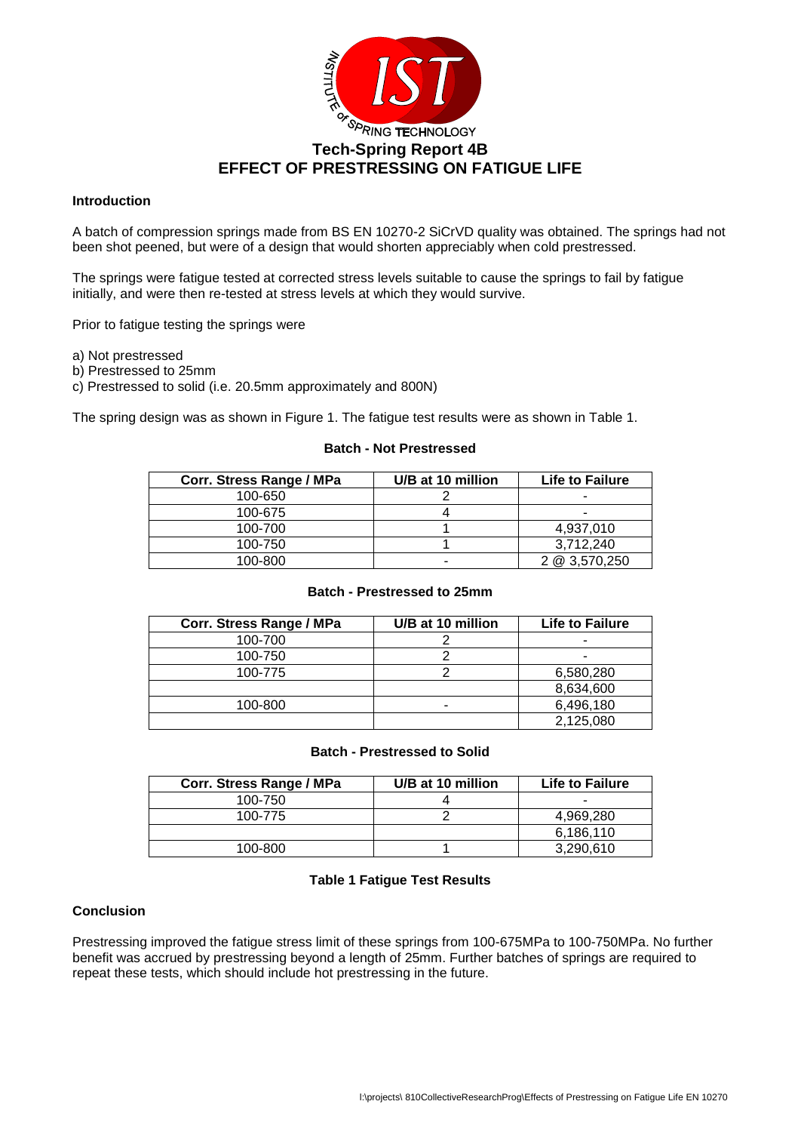

#### **Introduction**

A batch of compression springs made from BS EN 10270-2 SiCrVD quality was obtained. The springs had not been shot peened, but were of a design that would shorten appreciably when cold prestressed.

The springs were fatigue tested at corrected stress levels suitable to cause the springs to fail by fatigue initially, and were then re-tested at stress levels at which they would survive.

Prior to fatigue testing the springs were

- a) Not prestressed
- b) Prestressed to 25mm
- c) Prestressed to solid (i.e. 20.5mm approximately and 800N)

The spring design was as shown in Figure 1. The fatigue test results were as shown in Table 1.

# **Batch - Not Prestressed**

| Corr. Stress Range / MPa | U/B at 10 million | <b>Life to Failure</b> |
|--------------------------|-------------------|------------------------|
| 100-650                  |                   |                        |
| 100-675                  |                   | -                      |
| 100-700                  |                   | 4.937.010              |
| 100-750                  |                   | 3.712.240              |
| 100-800                  |                   | 2 @ 3,570,250          |

#### **Batch - Prestressed to 25mm**

| Corr. Stress Range / MPa | U/B at 10 million | <b>Life to Failure</b> |  |  |  |
|--------------------------|-------------------|------------------------|--|--|--|
| 100-700                  |                   | ۰                      |  |  |  |
| 100-750                  |                   | ۰                      |  |  |  |
| 100-775                  |                   | 6,580,280              |  |  |  |
|                          |                   | 8,634,600              |  |  |  |
| 100-800                  |                   | 6,496,180              |  |  |  |
|                          |                   | 2,125,080              |  |  |  |

#### **Batch - Prestressed to Solid**

| Corr. Stress Range / MPa | U/B at 10 million | <b>Life to Failure</b> |
|--------------------------|-------------------|------------------------|
| 100-750                  |                   |                        |
| 100-775                  |                   | 4.969.280              |
|                          |                   | 6,186,110              |
| 100-800                  |                   | 3.290.610              |

## **Table 1 Fatigue Test Results**

### **Conclusion**

Prestressing improved the fatigue stress limit of these springs from 100-675MPa to 100-750MPa. No further benefit was accrued by prestressing beyond a length of 25mm. Further batches of springs are required to repeat these tests, which should include hot prestressing in the future.